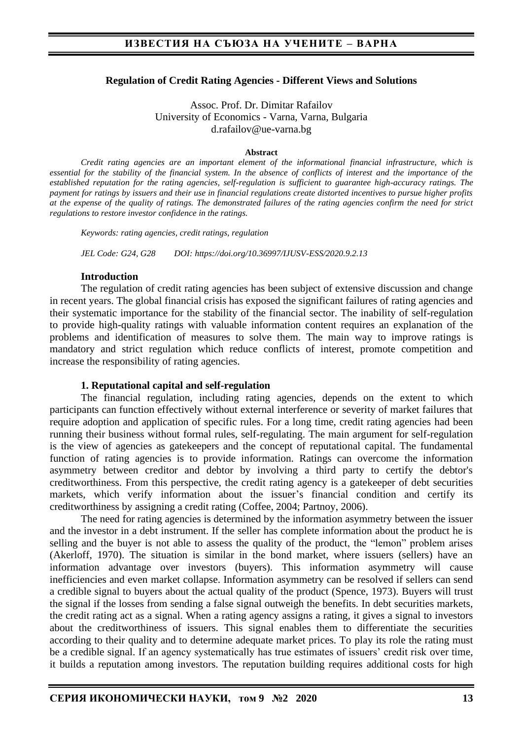### **Regulation of Credit Rating Agencies - Different Views and Solutions**

Assoc. Prof. Dr. Dimitar Rafailov University of Economics - Varna, Varna, Bulgaria d.rafailov@ue-varna.bg

#### **Abstract**

*Credit rating agencies are an important element of the informational financial infrastructure, which is*  essential for the stability of the financial system. In the absence of conflicts of interest and the importance of the *established reputation for the rating agencies, self-regulation is sufficient to guarantee high-accuracy ratings. The payment for ratings by issuers and their use in financial regulations create distorted incentives to pursue higher profits at the expense of the quality of ratings. The demonstrated failures of the rating agencies confirm the need for strict regulations to restore investor confidence in the ratings.*

*Keywords: rating agencies, credit ratings, regulation*

*JEL Code: G24, G28 DOI: https://doi.org/10.36997/IJUSV-ESS/2020.9.2.13*

#### **Introduction**

The regulation of credit rating agencies has been subject of extensive discussion and change in recent years. The global financial crisis has exposed the significant failures of rating agencies and their systematic importance for the stability of the financial sector. The inability of self-regulation to provide high-quality ratings with valuable information content requires an explanation of the problems and identification of measures to solve them. The main way to improve ratings is mandatory and strict regulation which reduce conflicts of interest, promote competition and increase the responsibility of rating agencies.

#### **1. Reputational capital and self-regulation**

The financial regulation, including rating agencies, depends on the extent to which participants can function effectively without external interference or severity of market failures that require adoption and application of specific rules. For a long time, credit rating agencies had been running their business without formal rules, self-regulating. The main argument for self-regulation is the view of agencies as gatekeepers and the concept of reputational capital. The fundamental function of rating agencies is to provide information. Ratings can overcome the information asymmetry between creditor and debtor by involving a third party to certify the debtor's creditworthiness. From this perspective, the credit rating agency is a gatekeeper of debt securities markets, which verify information about the issuer's financial condition and certify its creditworthiness by assigning a credit rating (Coffee, 2004; Partnoy, 2006).

The need for rating agencies is determined by the information asymmetry between the issuer and the investor in a debt instrument. If the seller has complete information about the product he is selling and the buyer is not able to assess the quality of the product, the "lemon" problem arises (Akerloff, 1970). The situation is similar in the bond market, where issuers (sellers) have an information advantage over investors (buyers). This information asymmetry will cause inefficiencies and even market collapse. Information asymmetry can be resolved if sellers can send a credible signal to buyers about the actual quality of the product (Spence, 1973). Buyers will trust the signal if the losses from sending a false signal outweigh the benefits. In debt securities markets, the credit rating act as a signal. When a rating agency assigns a rating, it gives a signal to investors about the creditworthiness of issuers. This signal enables them to differentiate the securities according to their quality and to determine adequate market prices. To play its role the rating must be a credible signal. If an agency systematically has true estimates of issuers' credit risk over time, it builds a reputation among investors. The reputation building requires additional costs for high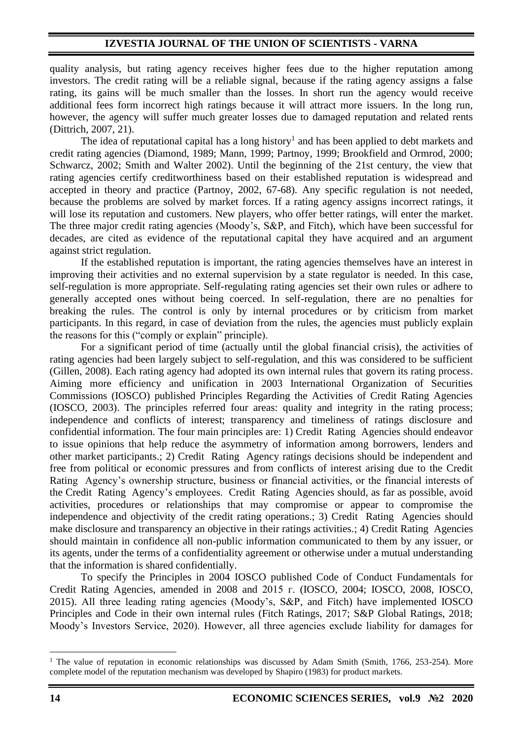quality analysis, but rating agency receives higher fees due to the higher reputation among investors. The credit rating will be a reliable signal, because if the rating agency assigns a false rating, its gains will be much smaller than the losses. In short run the agency would receive additional fees form incorrect high ratings because it will attract more issuers. In the long run, however, the agency will suffer much greater losses due to damaged reputation and related rents (Dittrich, 2007, 21).

The idea of reputational capital has a long history<sup>1</sup> and has been applied to debt markets and credit rating agencies (Diamond, 1989; Mann, 1999; Partnoy, 1999; Brookfield and Ormrod, 2000; Schwarcz, 2002; Smith and Walter 2002). Until the beginning of the 21st century, the view that rating agencies certify creditworthiness based on their established reputation is widespread and accepted in theory and practice (Partnoy, 2002, 67-68). Any specific regulation is not needed, because the problems are solved by market forces. If a rating agency assigns incorrect ratings, it will lose its reputation and customers. New players, who offer better ratings, will enter the market. The three major credit rating agencies (Moody's, S&P, and Fitch), which have been successful for decades, are cited as evidence of the reputational capital they have acquired and an argument against strict regulation.

If the established reputation is important, the rating agencies themselves have an interest in improving their activities and no external supervision by a state regulator is needed. In this case, self-regulation is more appropriate. Self-regulating rating agencies set their own rules or adhere to generally accepted ones without being coerced. In self-regulation, there are no penalties for breaking the rules. The control is only by internal procedures or by criticism from market participants. In this regard, in case of deviation from the rules, the agencies must publicly explain the reasons for this ("comply or explain" principle).

For a significant period of time (actually until the global financial crisis), the activities of rating agencies had been largely subject to self-regulation, and this was considered to be sufficient (Gillen, 2008). Each rating agency had adopted its own internal rules that govern its rating process. Aiming more efficiency and unification in 2003 International Organization of Securities Commissions (IOSCO) published Principles Regarding the Activities of Credit Rating Agencies (IOSCO, 2003). The principles referred four areas: quality and integrity in the rating process; independence and conflicts of interest; transparency and timeliness of ratings disclosure and confidential information. The four main principles are: 1) Credit Rating Agencies should endeavor to issue opinions that help reduce the asymmetry of information among borrowers, lenders and other market participants.; 2) Credit Rating Agency ratings decisions should be independent and free from political or economic pressures and from conflicts of interest arising due to the Credit Rating Agency's ownership structure, business or financial activities, or the financial interests of the Credit Rating Agency's employees. Credit Rating Agencies should, as far as possible, avoid activities, procedures or relationships that may compromise or appear to compromise the independence and objectivity of the credit rating operations.; 3) Credit Rating Agencies should make disclosure and transparency an objective in their ratings activities.; 4) Credit Rating Agencies should maintain in confidence all non-public information communicated to them by any issuer, or its agents, under the terms of a confidentiality agreement or otherwise under a mutual understanding that the information is shared confidentially.

To specify the Principles in 2004 IOSCO published Code of Conduct Fundamentals for Credit Rating Agencies, amended in 2008 and 2015 г. (IOSCO, 2004; IOSCO, 2008, IOSCO, 2015). All three leading rating agencies (Moody's, S&P, and Fitch) have implemented IOSCO Principles and Code in their own internal rules (Fitch Ratings, 2017; S&P Global Ratings, 2018; Moody's Investors Service, 2020). However, all three agencies exclude liability for damages for

<sup>&</sup>lt;sup>1</sup> The value of reputation in economic relationships was discussed by Adam Smith (Smith, 1766, 253-254). More complete model of the reputation mechanism was developed by Shapiro (1983) for product markets.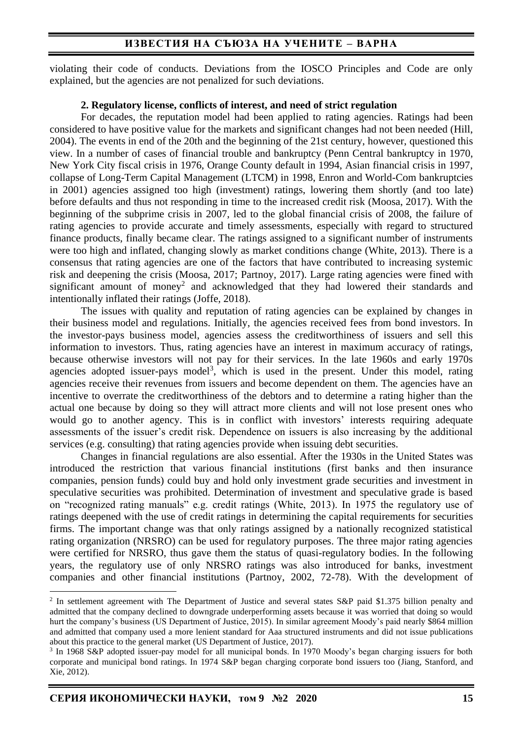# **ИЗВЕСТИЯ НА СЪЮЗА НА УЧЕНИТЕ – ВАРНА**

violating their code of conducts. Deviations from the IOSCO Principles and Code are only explained, but the agencies are not penalized for such deviations.

### **2. Regulatory license, conflicts of interest, and need of strict regulation**

For decades, the reputation model had been applied to rating agencies. Ratings had been considered to have positive value for the markets and significant changes had not been needed (Hill, 2004). The events in end of the 20th and the beginning of the 21st century, however, questioned this view. In a number of cases of financial trouble and bankruptcy (Penn Central bankruptcy in 1970, New York City fiscal crisis in 1976, Orange County default in 1994, Asian financial crisis in 1997, collapse of Long-Term Capital Management (LTCM) in 1998, Enron and World-Com bankruptcies in 2001) agencies assigned too high (investment) ratings, lowering them shortly (and too late) before defaults and thus not responding in time to the increased credit risk (Moosa, 2017). With the beginning of the subprime crisis in 2007, led to the global financial crisis of 2008, the failure of rating agencies to provide accurate and timely assessments, especially with regard to structured finance products, finally became clear. The ratings assigned to a significant number of instruments were too high and inflated, changing slowly as market conditions change (White, 2013). There is a consensus that rating agencies are one of the factors that have contributed to increasing systemic risk and deepening the crisis (Moosa, 2017; Partnoy, 2017). Large rating agencies were fined with significant amount of money<sup>2</sup> and acknowledged that they had lowered their standards and intentionally inflated their ratings (Joffe, 2018).

The issues with quality and reputation of rating agencies can be explained by changes in their business model and regulations. Initially, the agencies received fees from bond investors. In the investor-pays business model, agencies assess the creditworthiness of issuers and sell this information to investors. Thus, rating agencies have an interest in maximum accuracy of ratings, because otherwise investors will not pay for their services. In the late 1960s and early 1970s agencies adopted issuer-pays model<sup>3</sup>, which is used in the present. Under this model, rating agencies receive their revenues from issuers and become dependent on them. The agencies have an incentive to overrate the creditworthiness of the debtors and to determine a rating higher than the actual one because by doing so they will attract more clients and will not lose present ones who would go to another agency. This is in conflict with investors' interests requiring adequate assessments of the issuer's credit risk. Dependence on issuers is also increasing by the additional services (e.g. consulting) that rating agencies provide when issuing debt securities.

Changes in financial regulations are also essential. After the 1930s in the United States was introduced the restriction that various financial institutions (first banks and then insurance companies, pension funds) could buy and hold only investment grade securities and investment in speculative securities was prohibited. Determination of investment and speculative grade is based on "recognized rating manuals" e.g. credit ratings (White, 2013). In 1975 the regulatory use of ratings deepened with the use of credit ratings in determining the capital requirements for securities firms. The important change was that only ratings assigned by a nationally recognized statistical rating organization (NRSRO) can be used for regulatory purposes. The three major rating agencies were certified for NRSRO, thus gave them the status of quasi-regulatory bodies. In the following years, the regulatory use of only NRSRO ratings was also introduced for banks, investment companies and other financial institutions (Partnoy, 2002, 72-78). With the development of

<sup>&</sup>lt;sup>2</sup> In settlement agreement with The Department of Justice and several states S&P paid \$1.375 billion penalty and admitted that the company declined to downgrade underperforming assets because it was worried that doing so would hurt the company's business (US Department of Justice, 2015). In similar agreement Moody's paid nearly \$864 million and admitted that company used a more lenient standard for Aaa structured instruments and did not issue publications about this practice to the general market (US Department of Justice, 2017).

<sup>&</sup>lt;sup>3</sup> In 1968 S&P adopted issuer-pay model for all municipal bonds. In 1970 Moody's began charging issuers for both corporate and municipal bond ratings. In 1974 S&P began charging corporate bond issuers too (Jiang, Stanford, and Xie, 2012).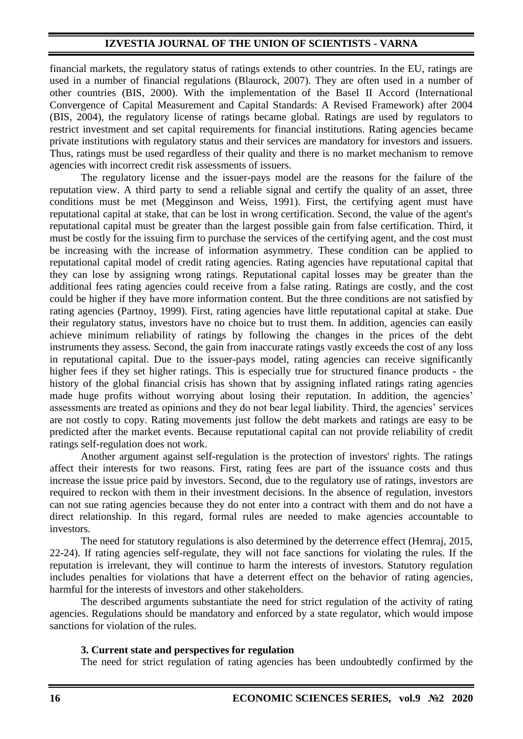financial markets, the regulatory status of ratings extends to other countries. In the EU, ratings are used in a number of financial regulations (Blaurock, 2007). They are often used in a number of other countries (BIS, 2000). With the implementation of the Basel II Accord (International Convergence of Capital Measurement and Capital Standards: A Revised Framework) after 2004 (BIS, 2004), the regulatory license of ratings became global. Ratings are used by regulators to restrict investment and set capital requirements for financial institutions. Rating agencies became private institutions with regulatory status and their services are mandatory for investors and issuers. Thus, ratings must be used regardless of their quality and there is no market mechanism to remove agencies with incorrect credit risk assessments of issuers.

The regulatory license and the issuer-pays model are the reasons for the failure of the reputation view. A third party to send a reliable signal and certify the quality of an asset, three conditions must be met (Megginson and Weiss, 1991). First, the certifying agent must have reputational capital at stake, that can be lost in wrong certification. Second, the value of the agent's reputational capital must be greater than the largest possible gain from false certification. Third, it must be costly for the issuing firm to purchase the services of the certifying agent, and the cost must be increasing with the increase of information asymmetry. These condition can be applied to reputational capital model of credit rating agencies. Rating agencies have reputational capital that they can lose by assigning wrong ratings. Reputational capital losses may be greater than the additional fees rating agencies could receive from a false rating. Ratings are costly, and the cost could be higher if they have more information content. But the three conditions are not satisfied by rating agencies (Partnoy, 1999). First, rating agencies have little reputational capital at stake. Due their regulatory status, investors have no choice but to trust them. In addition, agencies can easily achieve minimum reliability of ratings by following the changes in the prices of the debt instruments they assess. Second, the gain from inaccurate ratings vastly exceeds the cost of any loss in reputational capital. Due to the issuer-pays model, rating agencies can receive significantly higher fees if they set higher ratings. This is especially true for structured finance products - the history of the global financial crisis has shown that by assigning inflated ratings rating agencies made huge profits without worrying about losing their reputation. In addition, the agencies' assessments are treated as opinions and they do not bear legal liability. Third, the agencies' services are not costly to copy. Rating movements just follow the debt markets and ratings are easy to be predicted after the market events. Because reputational capital can not provide reliability of credit ratings self-regulation does not work.

Another argument against self-regulation is the protection of investors' rights. The ratings affect their interests for two reasons. First, rating fees are part of the issuance costs and thus increase the issue price paid by investors. Second, due to the regulatory use of ratings, investors are required to reckon with them in their investment decisions. In the absence of regulation, investors can not sue rating agencies because they do not enter into a contract with them and do not have a direct relationship. In this regard, formal rules are needed to make agencies accountable to investors.

The need for statutory regulations is also determined by the deterrence effect (Hemraj, 2015, 22-24). If rating agencies self-regulate, they will not face sanctions for violating the rules. If the reputation is irrelevant, they will continue to harm the interests of investors. Statutory regulation includes penalties for violations that have a deterrent effect on the behavior of rating agencies, harmful for the interests of investors and other stakeholders.

The described arguments substantiate the need for strict regulation of the activity of rating agencies. Regulations should be mandatory and enforced by a state regulator, which would impose sanctions for violation of the rules.

#### **3. Current state and perspectives for regulation**

The need for strict regulation of rating agencies has been undoubtedly confirmed by the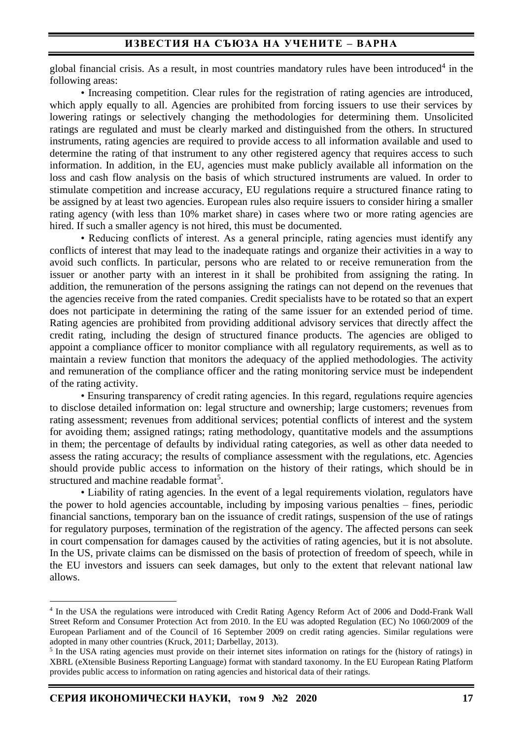global financial crisis. As a result, in most countries mandatory rules have been introduced<sup>4</sup> in the following areas:

• Increasing competition. Clear rules for the registration of rating agencies are introduced. which apply equally to all. Agencies are prohibited from forcing issuers to use their services by lowering ratings or selectively changing the methodologies for determining them. Unsolicited ratings are regulated and must be clearly marked and distinguished from the others. In structured instruments, rating agencies are required to provide access to all information available and used to determine the rating of that instrument to any other registered agency that requires access to such information. In addition, in the EU, agencies must make publicly available all information on the loss and cash flow analysis on the basis of which structured instruments are valued. In order to stimulate competition and increase accuracy, EU regulations require a structured finance rating to be assigned by at least two agencies. European rules also require issuers to consider hiring a smaller rating agency (with less than 10% market share) in cases where two or more rating agencies are hired. If such a smaller agency is not hired, this must be documented.

• Reducing conflicts of interest. As a general principle, rating agencies must identify any conflicts of interest that may lead to the inadequate ratings and organize their activities in a way to avoid such conflicts. In particular, persons who are related to or receive remuneration from the issuer or another party with an interest in it shall be prohibited from assigning the rating. In addition, the remuneration of the persons assigning the ratings can not depend on the revenues that the agencies receive from the rated companies. Credit specialists have to be rotated so that an expert does not participate in determining the rating of the same issuer for an extended period of time. Rating agencies are prohibited from providing additional advisory services that directly affect the credit rating, including the design of structured finance products. The agencies are obliged to appoint a compliance officer to monitor compliance with all regulatory requirements, as well as to maintain a review function that monitors the adequacy of the applied methodologies. The activity and remuneration of the compliance officer and the rating monitoring service must be independent of the rating activity.

• Ensuring transparency of credit rating agencies. In this regard, regulations require agencies to disclose detailed information on: legal structure and ownership; large customers; revenues from rating assessment; revenues from additional services; potential conflicts of interest and the system for avoiding them; assigned ratings; rating methodology, quantitative models and the assumptions in them; the percentage of defaults by individual rating categories, as well as other data needed to assess the rating accuracy; the results of compliance assessment with the regulations, etc. Agencies should provide public access to information on the history of their ratings, which should be in structured and machine readable format<sup>5</sup>.

• Liability of rating agencies. In the event of a legal requirements violation, regulators have the power to hold agencies accountable, including by imposing various penalties – fines, periodic financial sanctions, temporary ban on the issuance of credit ratings, suspension of the use of ratings for regulatory purposes, termination of the registration of the agency. The affected persons can seek in court compensation for damages caused by the activities of rating agencies, but it is not absolute. In the US, private claims can be dismissed on the basis of protection of freedom of speech, while in the EU investors and issuers can seek damages, but only to the extent that relevant national law allows.

<sup>4</sup> In the USA the regulations were introduced with Credit Rating Agency Reform Act of 2006 and Dodd-Frank Wall Street Reform and Consumer Protection Act from 2010. In the EU was adopted Regulation (EC) No 1060/2009 of the European Parliament and of the Council of 16 September 2009 on credit rating agencies. Similar regulations were adopted in many other countries (Kruck, 2011; Darbellay, 2013).

<sup>&</sup>lt;sup>5</sup> In the USA rating agencies must provide on their internet sites information on ratings for the (history of ratings) in XBRL (eXtensible Business Reporting Language) format with standard taxonomy. In the EU European Rating Platform provides public access to information on rating agencies and historical data of their ratings.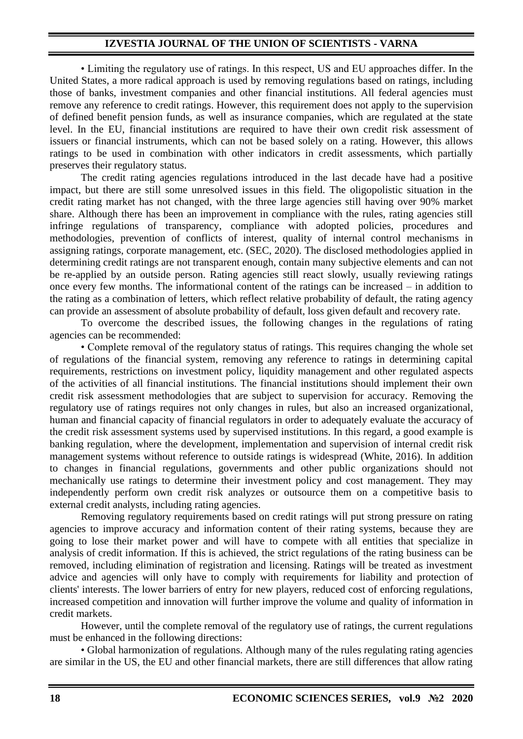• Limiting the regulatory use of ratings. In this respect, US and EU approaches differ. In the United States, a more radical approach is used by removing regulations based on ratings, including those of banks, investment companies and other financial institutions. All federal agencies must remove any reference to credit ratings. However, this requirement does not apply to the supervision of defined benefit pension funds, as well as insurance companies, which are regulated at the state level. In the EU, financial institutions are required to have their own credit risk assessment of issuers or financial instruments, which can not be based solely on a rating. However, this allows ratings to be used in combination with other indicators in credit assessments, which partially preserves their regulatory status.

The credit rating agencies regulations introduced in the last decade have had a positive impact, but there are still some unresolved issues in this field. The oligopolistic situation in the credit rating market has not changed, with the three large agencies still having over 90% market share. Although there has been an improvement in compliance with the rules, rating agencies still infringe regulations of transparency, compliance with adopted policies, procedures and methodologies, prevention of conflicts of interest, quality of internal control mechanisms in assigning ratings, corporate management, etc. (SEC, 2020). The disclosed methodologies applied in determining credit ratings are not transparent enough, contain many subjective elements and can not be re-applied by an outside person. Rating agencies still react slowly, usually reviewing ratings once every few months. The informational content of the ratings can be increased – in addition to the rating as a combination of letters, which reflect relative probability of default, the rating agency can provide an assessment of absolute probability of default, loss given default and recovery rate.

To overcome the described issues, the following changes in the regulations of rating agencies can be recommended:

• Complete removal of the regulatory status of ratings. This requires changing the whole set of regulations of the financial system, removing any reference to ratings in determining capital requirements, restrictions on investment policy, liquidity management and other regulated aspects of the activities of all financial institutions. The financial institutions should implement their own credit risk assessment methodologies that are subject to supervision for accuracy. Removing the regulatory use of ratings requires not only changes in rules, but also an increased organizational, human and financial capacity of financial regulators in order to adequately evaluate the accuracy of the credit risk assessment systems used by supervised institutions. In this regard, a good example is banking regulation, where the development, implementation and supervision of internal credit risk management systems without reference to outside ratings is widespread (White, 2016). In addition to changes in financial regulations, governments and other public organizations should not mechanically use ratings to determine their investment policy and cost management. They may independently perform own credit risk analyzes or outsource them on a competitive basis to external credit analysts, including rating agencies.

Removing regulatory requirements based on credit ratings will put strong pressure on rating agencies to improve accuracy and information content of their rating systems, because they are going to lose their market power and will have to compete with all entities that specialize in analysis of credit information. If this is achieved, the strict regulations of the rating business can be removed, including elimination of registration and licensing. Ratings will be treated as investment advice and agencies will only have to comply with requirements for liability and protection of clients' interests. The lower barriers of entry for new players, reduced cost of enforcing regulations, increased competition and innovation will further improve the volume and quality of information in credit markets.

However, until the complete removal of the regulatory use of ratings, the current regulations must be enhanced in the following directions:

• Global harmonization of regulations. Although many of the rules regulating rating agencies are similar in the US, the EU and other financial markets, there are still differences that allow rating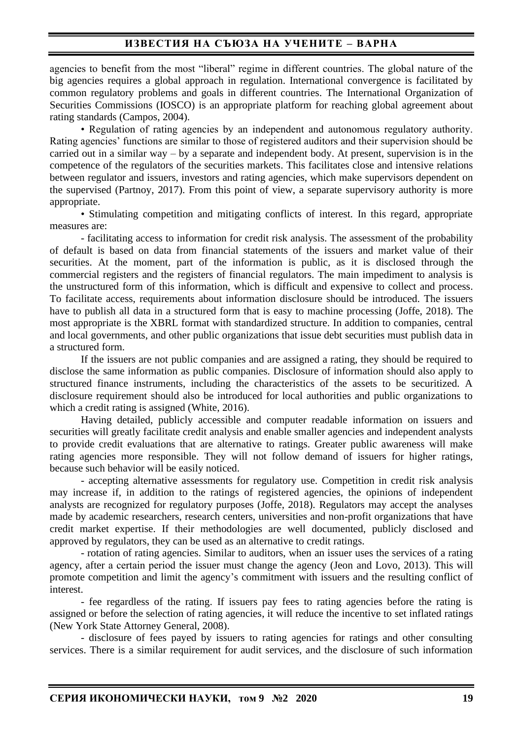# **ИЗВЕСТИЯ НА СЪЮЗА НА УЧЕНИТЕ – ВАРНА**

agencies to benefit from the most "liberal" regime in different countries. The global nature of the big agencies requires a global approach in regulation. International convergence is facilitated by common regulatory problems and goals in different countries. The International Organization of Securities Commissions (IOSCO) is an appropriate platform for reaching global agreement about rating standards (Campos, 2004).

• Regulation of rating agencies by an independent and autonomous regulatory authority. Rating agencies' functions are similar to those of registered auditors and their supervision should be carried out in a similar way – by a separate and independent body. At present, supervision is in the competence of the regulators of the securities markets. This facilitates close and intensive relations between regulator and issuers, investors and rating agencies, which make supervisors dependent on the supervised (Partnoy, 2017). From this point of view, a separate supervisory authority is more appropriate.

• Stimulating competition and mitigating conflicts of interest. In this regard, appropriate measures are:

- facilitating access to information for credit risk analysis. The assessment of the probability of default is based on data from financial statements of the issuers and market value of their securities. At the moment, part of the information is public, as it is disclosed through the commercial registers and the registers of financial regulators. The main impediment to analysis is the unstructured form of this information, which is difficult and expensive to collect and process. To facilitate access, requirements about information disclosure should be introduced. The issuers have to publish all data in a structured form that is easy to machine processing (Joffe, 2018). The most appropriate is the XBRL format with standardized structure. In addition to companies, central and local governments, and other public organizations that issue debt securities must publish data in a structured form.

If the issuers are not public companies and are assigned a rating, they should be required to disclose the same information as public companies. Disclosure of information should also apply to structured finance instruments, including the characteristics of the assets to be securitized. A disclosure requirement should also be introduced for local authorities and public organizations to which a credit rating is assigned (White, 2016).

Having detailed, publicly accessible and computer readable information on issuers and securities will greatly facilitate credit analysis and enable smaller agencies and independent analysts to provide credit evaluations that are alternative to ratings. Greater public awareness will make rating agencies more responsible. They will not follow demand of issuers for higher ratings, because such behavior will be easily noticed.

- accepting alternative assessments for regulatory use. Competition in credit risk analysis may increase if, in addition to the ratings of registered agencies, the opinions of independent analysts are recognized for regulatory purposes (Joffe, 2018). Regulators may accept the analyses made by academic researchers, research centers, universities and non-profit organizations that have credit market expertise. If their methodologies are well documented, publicly disclosed and approved by regulators, they can be used as an alternative to credit ratings.

- rotation of rating agencies. Similar to auditors, when an issuer uses the services of a rating agency, after а certain period the issuer must change the agency (Jeon and Lovo, 2013). This will promote competition and limit the agency's commitment with issuers and the resulting conflict of interest.

- fee regardless of the rating. If issuers pay fees to rating agencies before the rating is assigned or before the selection of rating agencies, it will reduce the incentive to set inflated ratings (New York State Attorney General, 2008).

- disclosure of fees payed by issuers to rating agencies for ratings and other consulting services. There is a similar requirement for audit services, and the disclosure of such information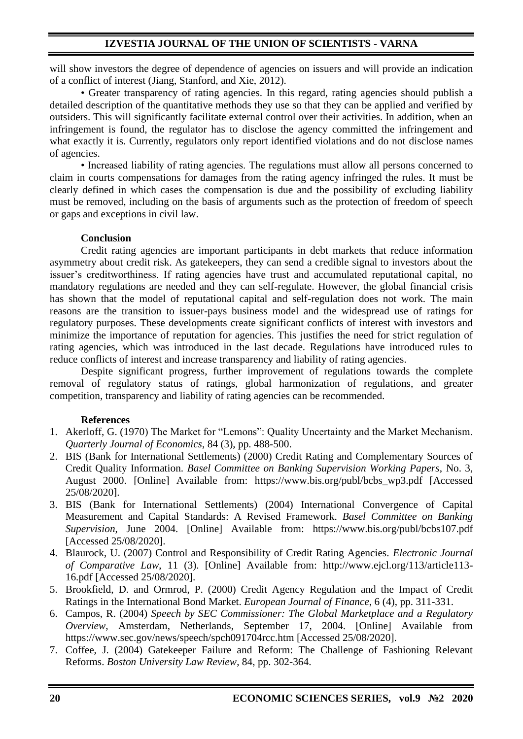will show investors the degree of dependence of agencies on issuers and will provide an indication of a conflict of interest (Jiang, Stanford, and Xie, 2012).

• Greater transparency of rating agencies. In this regard, rating agencies should publish a detailed description of the quantitative methods they use so that they can be applied and verified by outsiders. This will significantly facilitate external control over their activities. In addition, when an infringement is found, the regulator has to disclose the agency committed the infringement and what exactly it is. Currently, regulators only report identified violations and do not disclose names of agencies.

• Increased liability of rating agencies. The regulations must allow all persons concerned to claim in courts compensations for damages from the rating agency infringed the rules. It must be clearly defined in which cases the compensation is due and the possibility of excluding liability must be removed, including on the basis of arguments such as the protection of freedom of speech or gaps and exceptions in civil law.

# **Conclusion**

Credit rating agencies are important participants in debt markets that reduce information asymmetry about credit risk. As gatekeepers, they can send a credible signal to investors about the issuer's creditworthiness. If rating agencies have trust and accumulated reputational capital, no mandatory regulations are needed and they can self-regulate. However, the global financial crisis has shown that the model of reputational capital and self-regulation does not work. The main reasons are the transition to issuer-pays business model and the widespread use of ratings for regulatory purposes. These developments create significant conflicts of interest with investors and minimize the importance of reputation for agencies. This justifies the need for strict regulation of rating agencies, which was introduced in the last decade. Regulations have introduced rules to reduce conflicts of interest and increase transparency and liability of rating agencies.

Despite significant progress, further improvement of regulations towards the complete removal of regulatory status of ratings, global harmonization of regulations, and greater competition, transparency and liability of rating agencies can be recommended.

# **References**

- 1. Akerloff, G. (1970) The Market for "Lemons": Quality Uncertainty and the Market Mechanism. *Quarterly Journal of Economics*, 84 (3), pp. 488-500.
- 2. BIS (Bank for International Settlements) (2000) Credit Rating and Complementary Sources of Credit Quality Information. *Basel Committee on Banking Supervision Working Papers*, No. 3, August 2000. [Online] Available from: https://www.bis.org/publ/bcbs\_wp3.pdf [Accessed 25/08/2020].
- 3. BIS (Bank for International Settlements) (2004) International Convergence of Capital Measurement and Capital Standards: A Revised Framework. *Basel Committee on Banking Supervision*, June 2004. [Online] Available from: https://www.bis.org/publ/bcbs107.pdf [Accessed 25/08/2020].
- 4. Blaurock, U. (2007) Control and Responsibility of Credit Rating Agencies. *Electronic Journal of Comparative Law*, 11 (3). [Online] Available from: http://www.ejcl.org/113/article113- 16.pdf [Accessed 25/08/2020].
- 5. Brookfield, D. and Ormrod, P. (2000) Credit Agency Regulation and the Impact of Credit Ratings in the International Bond Market. *European Journal of Finance*, 6 (4), pp. 311-331.
- 6. Campos, R. (2004) *Speech by SEC Commissioner: The Global Marketplace and a Regulatory Overview*, Amsterdam, Netherlands, September 17, 2004. [Online] Available from https://www.sec.gov/news/speech/spch091704rcc.htm [Accessed 25/08/2020].
- 7. Coffee, J. (2004) Gatekeeper Failure and Reform: The Challenge of Fashioning Relevant Reforms. *Boston University Law Review*, 84, pp. 302-364.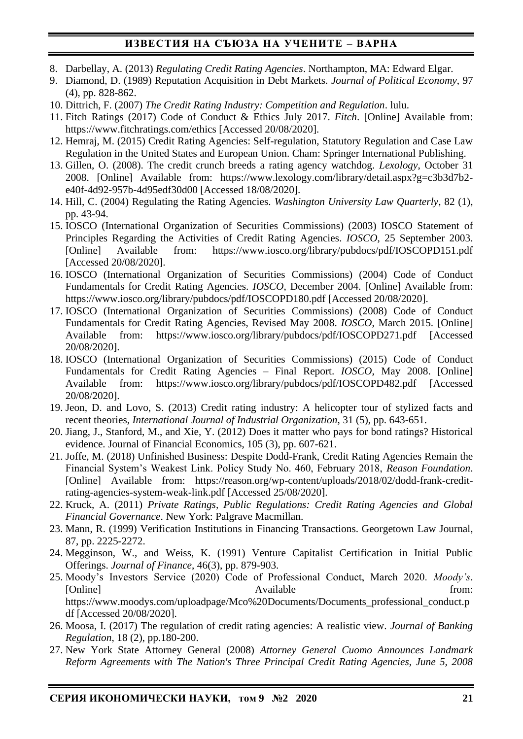# **ИЗВЕСТИЯ НА СЪЮЗА НА УЧЕНИТЕ – ВАРНА**

- 8. Darbellay, A. (2013) *Regulating Credit Rating Agencies*. Northampton, MA: Edward Elgar.
- 9. Diamond, D. (1989) Reputation Acquisition in Debt Markets. *Journal of Political Economy*, 97 (4), pp. 828-862.
- 10. Dittrich, F. (2007) *The Credit Rating Industry: Competition and Regulation*. lulu.
- 11. Fitch Ratings (2017) Code of Conduct & Ethics July 2017. *Fitch*. [Online] Available from: https://www.fitchratings.com/ethics [Accessed 20/08/2020].
- 12. Hemraj, M. (2015) Credit Rating Agencies: Self-regulation, Statutory Regulation and Case Law Regulation in the United States and European Union. Cham: Springer International Publishing.
- 13. Gillen, O. (2008). The credit crunch breeds a rating agency watchdog. *Lexology*, October 31 2008. [Online] Available from: https://www.lexology.com/library/detail.aspx?g=c3b3d7b2 e40f-4d92-957b-4d95edf30d00 [Accessed 18/08/2020].
- 14. Hill, C. (2004) Regulating the Rating Agencies. *Washington University Law Quarterly*, 82 (1), pp. 43-94.
- 15. IOSCO (International Organization of Securities Commissions) (2003) IOSCO Statement of Principles Regarding the Activities of Credit Rating Agencies. *IOSCO*, 25 September 2003. [Online] Available from: https://www.iosco.org/library/pubdocs/pdf/IOSCOPD151.pdf [Accessed 20/08/2020].
- 16. IOSCO (International Organization of Securities Commissions) (2004) Code of Conduct Fundamentals for Credit Rating Agencies. *IOSCO*, December 2004. [Online] Available from: https://www.iosco.org/library/pubdocs/pdf/IOSCOPD180.pdf [Accessed 20/08/2020].
- 17. IOSCO (International Organization of Securities Commissions) (2008) Code of Conduct Fundamentals for Credit Rating Agencies, Revised May 2008. *IOSCO*, March 2015. [Online] Available from: https://www.iosco.org/library/pubdocs/pdf/IOSCOPD271.pdf [Accessed 20/08/2020].
- 18. IOSCO (International Organization of Securities Commissions) (2015) Code of Conduct Fundamentals for Credit Rating Agencies – Final Report. *IOSCO*, May 2008. [Online] Available from: https://www.iosco.org/library/pubdocs/pdf/IOSCOPD482.pdf [Accessed] 20/08/2020].
- 19. Jeon, D. and Lovo, S. (2013) Credit rating industry: A helicopter tour of stylized facts and recent theories, *International Journal of Industrial Organization*, 31 (5), pp. 643-651.
- 20. Jiang, J., Stanford, M., and Xie, Y. (2012) Does it matter who pays for bond ratings? Historical evidence. Journal of Financial Economics, 105 (3), pp. 607-621.
- 21. Joffe, M. (2018) Unfinished Business: Despite Dodd-Frank, Credit Rating Agencies Remain the Financial System's Weakest Link. Policy Study No. 460, February 2018, *Reason Foundation*. [Online] Available from: https://reason.org/wp-content/uploads/2018/02/dodd-frank-creditrating-agencies-system-weak-link.pdf [Accessed 25/08/2020].
- 22. Kruck, A. (2011) *Private Ratings, Public Regulations: Credit Rating Agencies and Global Financial Governance*. New York: Palgrave Macmillan.
- 23. Mann, R. (1999) Verification Institutions in Financing Transactions. Georgetown Law Journal, 87, pp. 2225-2272.
- 24. Megginson, W., and Weiss, K. (1991) Venture Capitalist Certification in Initial Public Offerings. *Journal of Finance*, 46(3), pp. 879-903.
- 25. Moody's Investors Service (2020) Code of Professional Conduct, March 2020. *Moody's*. [Online] Available from: https://www.moodys.com/uploadpage/Mco%20Documents/Documents\_professional\_conduct.p df [Accessed 20/08/2020].
- 26. Moosa, I. (2017) The regulation of credit rating agencies: A realistic view. *Journal of Banking Regulation*, 18 (2), pp.180-200.
- 27. New York State Attorney General (2008) *Attorney General Cuomo Announces Landmark Reform Agreements with The Nation's Three Principal Credit Rating Agencies, June 5, 2008*